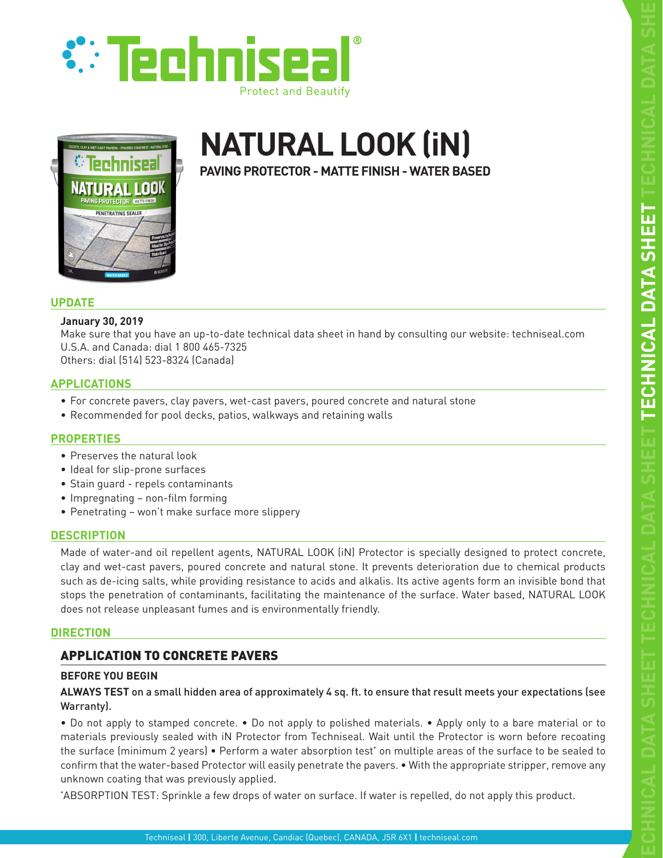





# **NATURAL LOOK (iN)**

**PAVING PROTECTOR - MATTE FINISH - WATER BASED**

# **UPDATE**

## **January 30, 2019**

Make sure that you have an up-to-date technical data sheet in hand by consulting our website: techniseal.com U.S.A. and Canada: dial 1 800 465-7325 Others: dial (514) 523-8324 (Canada)

**APPLICATIONS**

- For concrete pavers, clay pavers, wet-cast pavers, poured concrete and natural stone
- Recommended for pool decks, patios, walkways and retaining walls

## **PROPERTIES**

- Preserves the natural look
- Ideal for slip-prone surfaces
- Stain guard repels contaminants
- Impregnating non-film forming
- Penetrating won't make surface more slippery

# **DESCRIPTION**

Made of water-and oil repellent agents, NATURAL LOOK (iN) Protector is specially designed to protect concrete, clay and wet-cast pavers, poured concrete and natural stone. It prevents deterioration due to chemical products such as de-icing salts, while providing resistance to acids and alkalis. Its active agents form an invisible bond that stops the penetration of contaminants, facilitating the maintenance of the surface. Water based, NATURAL LOOK does not release unpleasant fumes and is environmentally friendly.

## **DIRECTION**

# APPLICATION TO CONCRETE PAVERS

## **BEFORE YOU BEGIN**

**ALWAYS TEST** on a small hidden area of approximately 4 sq. ft. to ensure that result meets your expectations (see Warranty).

• Do not apply to stamped concrete. • Do not apply to polished materials. • Apply only to a bare material or to materials previously sealed with iN Protector from Techniseal. Wait until the Protector is worn before recoating the surface (minimum 2 years) • Perform a water absorption test\* on multiple areas of the surface to be sealed to confirm that the water-based Protector will easily penetrate the pavers. • With the appropriate stripper, remove any unknown coating that was previously applied.

\* ABSORPTION TEST: Sprinkle a few drops of water on surface. If water is repelled, do not apply this product.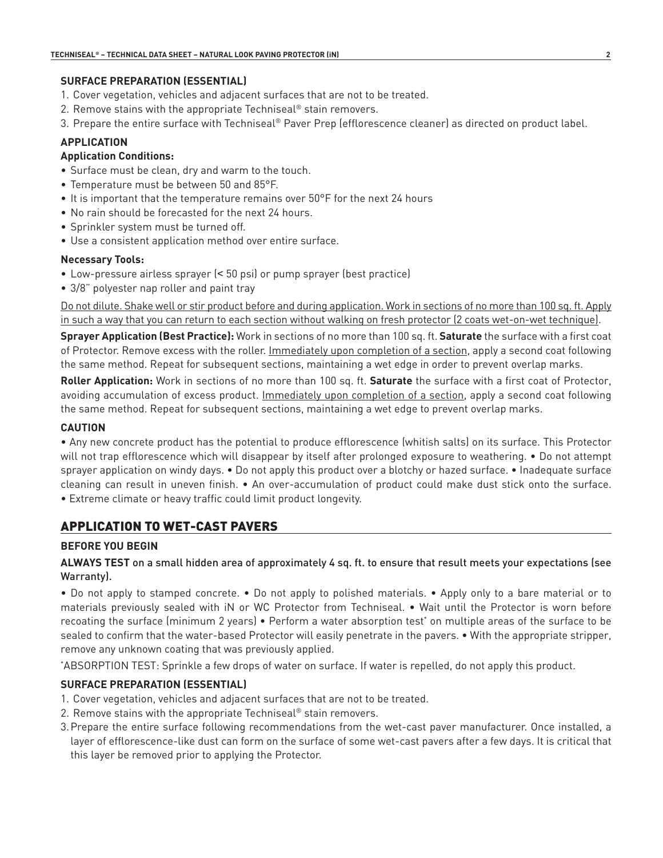## **SURFACE PREPARATION (ESSENTIAL)**

- 1. Cover vegetation, vehicles and adjacent surfaces that are not to be treated.
- 2. Remove stains with the appropriate Techniseal® stain removers.
- 3. Prepare the entire surface with Techniseal® Paver Prep (efflorescence cleaner) as directed on product label.

# **APPLICATION**

## **Application Conditions:**

- Surface must be clean, dry and warm to the touch.
- Temperature must be between 50 and 85°F.
- It is important that the temperature remains over 50°F for the next 24 hours
- No rain should be forecasted for the next 24 hours.
- Sprinkler system must be turned off.
- Use a consistent application method over entire surface.

## **Necessary Tools:**

- Low-pressure airless sprayer (< 50 psi) or pump sprayer (best practice)
- 3/8" polyester nap roller and paint tray

Do not dilute. Shake well or stir product before and during application. Work in sections of no more than 100 sq. ft. Apply in such a way that you can return to each section without walking on fresh protector (2 coats wet-on-wet technique).

**Sprayer Application (Best Practice):** Work in sections of no more than 100 sq. ft. **Saturate** the surface with a first coat of Protector. Remove excess with the roller. Immediately upon completion of a section, apply a second coat following the same method. Repeat for subsequent sections, maintaining a wet edge in order to prevent overlap marks.

**Roller Application:** Work in sections of no more than 100 sq. ft. **Saturate** the surface with a first coat of Protector, avoiding accumulation of excess product. Immediately upon completion of a section, apply a second coat following the same method. Repeat for subsequent sections, maintaining a wet edge to prevent overlap marks.

#### **CAUTION**

• Any new concrete product has the potential to produce efflorescence (whitish salts) on its surface. This Protector will not trap efflorescence which will disappear by itself after prolonged exposure to weathering. • Do not attempt sprayer application on windy days. • Do not apply this product over a blotchy or hazed surface. • Inadequate surface cleaning can result in uneven finish. • An over-accumulation of product could make dust stick onto the surface. • Extreme climate or heavy traffic could limit product longevity.

# APPLICATION TO WET-CAST PAVERS

#### **BEFORE YOU BEGIN**

## **ALWAYS TEST** on a small hidden area of approximately 4 sq. ft. to ensure that result meets your expectations (see Warranty).

• Do not apply to stamped concrete. • Do not apply to polished materials. • Apply only to a bare material or to materials previously sealed with iN or WC Protector from Techniseal. • Wait until the Protector is worn before recoating the surface (minimum 2 years) • Perform a water absorption test<sup>\*</sup> on multiple areas of the surface to be sealed to confirm that the water-based Protector will easily penetrate in the pavers. • With the appropriate stripper, remove any unknown coating that was previously applied.

\* ABSORPTION TEST: Sprinkle a few drops of water on surface. If water is repelled, do not apply this product.

## **SURFACE PREPARATION (ESSENTIAL)**

- 1. Cover vegetation, vehicles and adjacent surfaces that are not to be treated.
- 2. Remove stains with the appropriate Techniseal® stain removers.
- 3.Prepare the entire surface following recommendations from the wet-cast paver manufacturer. Once installed, a layer of efflorescence-like dust can form on the surface of some wet-cast pavers after a few days. It is critical that this layer be removed prior to applying the Protector.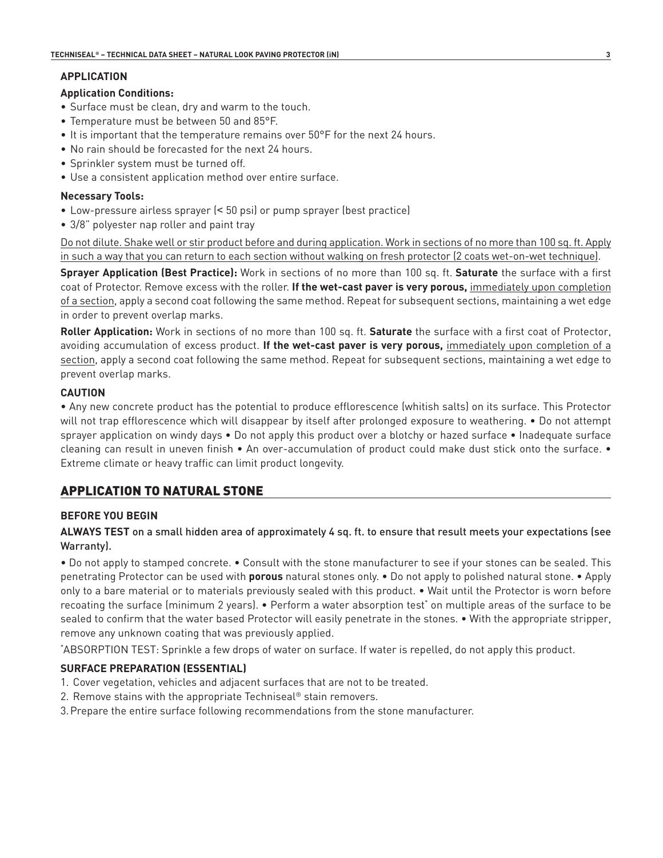## **APPLICATION**

## **Application Conditions:**

- Surface must be clean, dry and warm to the touch.
- Temperature must be between 50 and 85°F.
- It is important that the temperature remains over 50°F for the next 24 hours.
- No rain should be forecasted for the next 24 hours.
- Sprinkler system must be turned off.
- Use a consistent application method over entire surface.

#### **Necessary Tools:**

- Low-pressure airless sprayer (< 50 psi) or pump sprayer (best practice)
- 3/8" polyester nap roller and paint tray

Do not dilute. Shake well or stir product before and during application. Work in sections of no more than 100 sq. ft. Apply in such a way that you can return to each section without walking on fresh protector (2 coats wet-on-wet technique).

**Sprayer Application (Best Practice):** Work in sections of no more than 100 sq. ft. **Saturate** the surface with a first coat of Protector. Remove excess with the roller. **If the wet-cast paver is very porous,** immediately upon completion of a section, apply a second coat following the same method. Repeat for subsequent sections, maintaining a wet edge in order to prevent overlap marks.

**Roller Application:** Work in sections of no more than 100 sq. ft. **Saturate** the surface with a first coat of Protector, avoiding accumulation of excess product. **If the wet-cast paver is very porous,** immediately upon completion of a section, apply a second coat following the same method. Repeat for subsequent sections, maintaining a wet edge to prevent overlap marks.

## **CAUTION**

• Any new concrete product has the potential to produce efflorescence (whitish salts) on its surface. This Protector will not trap efflorescence which will disappear by itself after prolonged exposure to weathering. • Do not attempt sprayer application on windy days • Do not apply this product over a blotchy or hazed surface • Inadequate surface cleaning can result in uneven finish • An over-accumulation of product could make dust stick onto the surface. • Extreme climate or heavy traffic can limit product longevity.

# APPLICATION TO NATURAL STONE

## **BEFORE YOU BEGIN**

## **ALWAYS TEST** on a small hidden area of approximately 4 sq. ft. to ensure that result meets your expectations (see Warranty).

• Do not apply to stamped concrete. • Consult with the stone manufacturer to see if your stones can be sealed. This penetrating Protector can be used with **porous** natural stones only. • Do not apply to polished natural stone. • Apply only to a bare material or to materials previously sealed with this product. • Wait until the Protector is worn before recoating the surface (minimum 2 years). • Perform a water absorption test\* on multiple areas of the surface to be sealed to confirm that the water based Protector will easily penetrate in the stones. • With the appropriate stripper, remove any unknown coating that was previously applied.

\* ABSORPTION TEST: Sprinkle a few drops of water on surface. If water is repelled, do not apply this product.

## **SURFACE PREPARATION (ESSENTIAL)**

- 1. Cover vegetation, vehicles and adjacent surfaces that are not to be treated.
- 2. Remove stains with the appropriate Techniseal® stain removers.
- 3.Prepare the entire surface following recommendations from the stone manufacturer.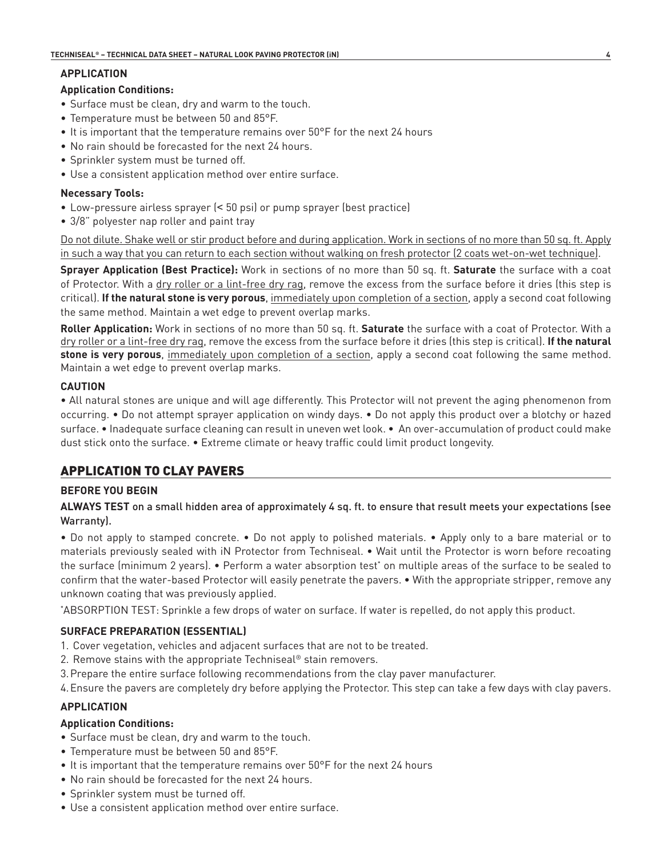# **APPLICATION**

# **Application Conditions:**

- Surface must be clean, dry and warm to the touch.
- Temperature must be between 50 and 85°F.
- It is important that the temperature remains over 50°F for the next 24 hours
- No rain should be forecasted for the next 24 hours.
- Sprinkler system must be turned off.
- Use a consistent application method over entire surface.

## **Necessary Tools:**

- Low-pressure airless sprayer (< 50 psi) or pump sprayer (best practice)
- 3/8" polyester nap roller and paint tray

Do not dilute. Shake well or stir product before and during application. Work in sections of no more than 50 sq. ft. Apply in such a way that you can return to each section without walking on fresh protector (2 coats wet-on-wet technique).

**Sprayer Application (Best Practice):** Work in sections of no more than 50 sq. ft. **Saturate** the surface with a coat of Protector. With a dry roller or a lint-free dry rag, remove the excess from the surface before it dries (this step is critical). **If the natural stone is very porous**, immediately upon completion of a section, apply a second coat following the same method. Maintain a wet edge to prevent overlap marks.

**Roller Application:** Work in sections of no more than 50 sq. ft. **Saturate** the surface with a coat of Protector. With a dry roller or a lint-free dry rag, remove the excess from the surface before it dries (this step is critical). **If the natural stone is very porous**, immediately upon completion of a section, apply a second coat following the same method. Maintain a wet edge to prevent overlap marks.

## **CAUTION**

• All natural stones are unique and will age differently. This Protector will not prevent the aging phenomenon from occurring. • Do not attempt sprayer application on windy days. • Do not apply this product over a blotchy or hazed surface. • Inadequate surface cleaning can result in uneven wet look. • An over-accumulation of product could make dust stick onto the surface. • Extreme climate or heavy traffic could limit product longevity.

# APPLICATION TO CLAY PAVERS

# **BEFORE YOU BEGIN**

**ALWAYS TEST** on a small hidden area of approximately 4 sq. ft. to ensure that result meets your expectations (see Warranty).

• Do not apply to stamped concrete. • Do not apply to polished materials. • Apply only to a bare material or to materials previously sealed with iN Protector from Techniseal. • Wait until the Protector is worn before recoating the surface (minimum 2 years). • Perform a water absorption test\* on multiple areas of the surface to be sealed to confirm that the water-based Protector will easily penetrate the pavers. • With the appropriate stripper, remove any unknown coating that was previously applied.

\* ABSORPTION TEST: Sprinkle a few drops of water on surface. If water is repelled, do not apply this product.

# **SURFACE PREPARATION (ESSENTIAL)**

- 1. Cover vegetation, vehicles and adjacent surfaces that are not to be treated.
- 2. Remove stains with the appropriate Techniseal® stain removers.
- 3.Prepare the entire surface following recommendations from the clay paver manufacturer.
- 4.Ensure the pavers are completely dry before applying the Protector. This step can take a few days with clay pavers.

# **APPLICATION**

# **Application Conditions:**

- Surface must be clean, dry and warm to the touch.
- Temperature must be between 50 and 85°F.
- It is important that the temperature remains over 50°F for the next 24 hours
- No rain should be forecasted for the next 24 hours.
- Sprinkler system must be turned off.
- Use a consistent application method over entire surface.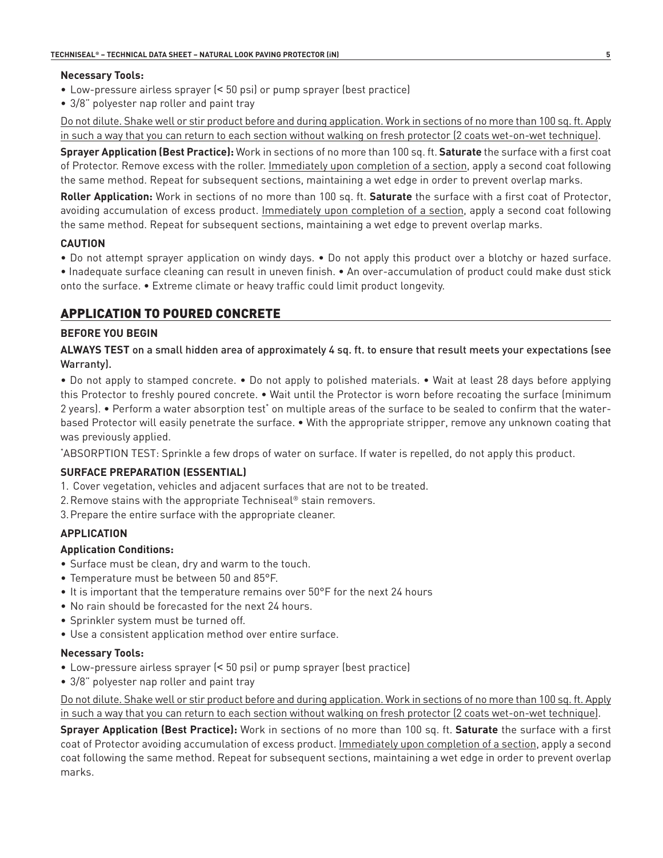## **Necessary Tools:**

- Low-pressure airless sprayer (< 50 psi) or pump sprayer (best practice)
- 3/8" polyester nap roller and paint tray

Do not dilute. Shake well or stir product before and during application. Work in sections of no more than 100 sq. ft. Apply in such a way that you can return to each section without walking on fresh protector (2 coats wet-on-wet technique).

**Sprayer Application (Best Practice):** Work in sections of no more than 100 sq. ft. **Saturate** the surface with a first coat of Protector. Remove excess with the roller. Immediately upon completion of a section, apply a second coat following the same method. Repeat for subsequent sections, maintaining a wet edge in order to prevent overlap marks.

**Roller Application:** Work in sections of no more than 100 sq. ft. **Saturate** the surface with a first coat of Protector, avoiding accumulation of excess product. Immediately upon completion of a section, apply a second coat following the same method. Repeat for subsequent sections, maintaining a wet edge to prevent overlap marks.

# **CAUTION**

• Do not attempt sprayer application on windy days. • Do not apply this product over a blotchy or hazed surface.

• Inadequate surface cleaning can result in uneven finish. • An over-accumulation of product could make dust stick onto the surface. • Extreme climate or heavy traffic could limit product longevity.

# APPLICATION TO POURED CONCRETE

# **BEFORE YOU BEGIN**

**ALWAYS TEST** on a small hidden area of approximately 4 sq. ft. to ensure that result meets your expectations (see Warranty).

• Do not apply to stamped concrete. • Do not apply to polished materials. • Wait at least 28 days before applying this Protector to freshly poured concrete. • Wait until the Protector is worn before recoating the surface (minimum 2 years). • Perform a water absorption test\* on multiple areas of the surface to be sealed to confirm that the waterbased Protector will easily penetrate the surface. • With the appropriate stripper, remove any unknown coating that was previously applied.

\* ABSORPTION TEST: Sprinkle a few drops of water on surface. If water is repelled, do not apply this product.

# **SURFACE PREPARATION (ESSENTIAL)**

- 1. Cover vegetation, vehicles and adjacent surfaces that are not to be treated.
- 2.Remove stains with the appropriate Techniseal® stain removers.
- 3.Prepare the entire surface with the appropriate cleaner.

# **APPLICATION**

# **Application Conditions:**

- Surface must be clean, dry and warm to the touch.
- Temperature must be between 50 and 85°F.
- It is important that the temperature remains over 50°F for the next 24 hours
- No rain should be forecasted for the next 24 hours.
- Sprinkler system must be turned off.
- Use a consistent application method over entire surface.

# **Necessary Tools:**

- Low-pressure airless sprayer (< 50 psi) or pump sprayer (best practice)
- 3/8" polyester nap roller and paint tray

Do not dilute. Shake well or stir product before and during application. Work in sections of no more than 100 sq. ft. Apply in such a way that you can return to each section without walking on fresh protector (2 coats wet-on-wet technique).

**Sprayer Application (Best Practice):** Work in sections of no more than 100 sq. ft. **Saturate** the surface with a first coat of Protector avoiding accumulation of excess product. Immediately upon completion of a section, apply a second coat following the same method. Repeat for subsequent sections, maintaining a wet edge in order to prevent overlap marks.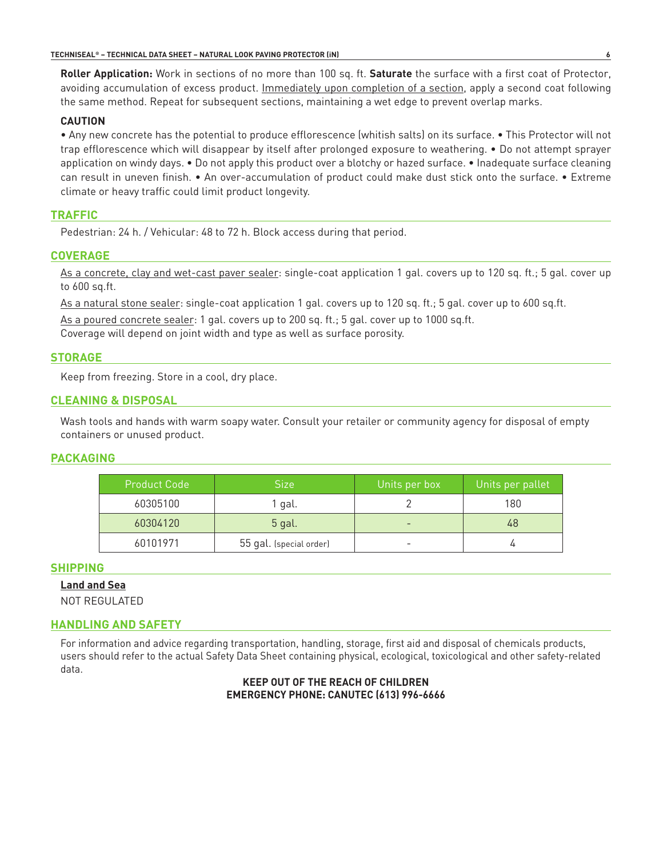**Roller Application:** Work in sections of no more than 100 sq. ft. **Saturate** the surface with a first coat of Protector, avoiding accumulation of excess product. Immediately upon completion of a section, apply a second coat following the same method. Repeat for subsequent sections, maintaining a wet edge to prevent overlap marks.

## **CAUTION**

• Any new concrete has the potential to produce efflorescence (whitish salts) on its surface. • This Protector will not trap efflorescence which will disappear by itself after prolonged exposure to weathering. • Do not attempt sprayer application on windy days. • Do not apply this product over a blotchy or hazed surface. • Inadequate surface cleaning can result in uneven finish. • An over-accumulation of product could make dust stick onto the surface. • Extreme climate or heavy traffic could limit product longevity.

# **TRAFFIC**

Pedestrian: 24 h. / Vehicular: 48 to 72 h. Block access during that period.

# **COVERAGE**

As a concrete, clay and wet-cast paver sealer: single-coat application 1 gal. covers up to 120 sq. ft.; 5 gal. cover up to 600 sq.ft.

As a natural stone sealer: single-coat application 1 gal. covers up to 120 sq. ft.; 5 gal. cover up to 600 sq.ft.

As a poured concrete sealer: 1 gal. covers up to 200 sq. ft.; 5 gal. cover up to 1000 sq.ft.

Coverage will depend on joint width and type as well as surface porosity.

# **STORAGE**

Keep from freezing. Store in a cool, dry place.

# **CLEANING & DISPOSAL**

Wash tools and hands with warm soapy water. Consult your retailer or community agency for disposal of empty containers or unused product.

# **PACKAGING**

| <b>Product Code</b> | <b>Size</b>             | Units per box | Units per pallet |
|---------------------|-------------------------|---------------|------------------|
| 60305100            | $^1$ gal.               |               | 180              |
| 60304120            | 5 gal.                  |               | 48               |
| 60101971            | 55 gal. (special order) |               |                  |

# **SHIPPING**

# **Land and Sea**

NOT REGULATED

# **HANDLING AND SAFETY**

For information and advice regarding transportation, handling, storage, first aid and disposal of chemicals products, users should refer to the actual Safety Data Sheet containing physical, ecological, toxicological and other safety-related data.

## **KEEP OUT OF THE REACH OF CHILDREN EMERGENCY PHONE: CANUTEC (613) 996-6666**